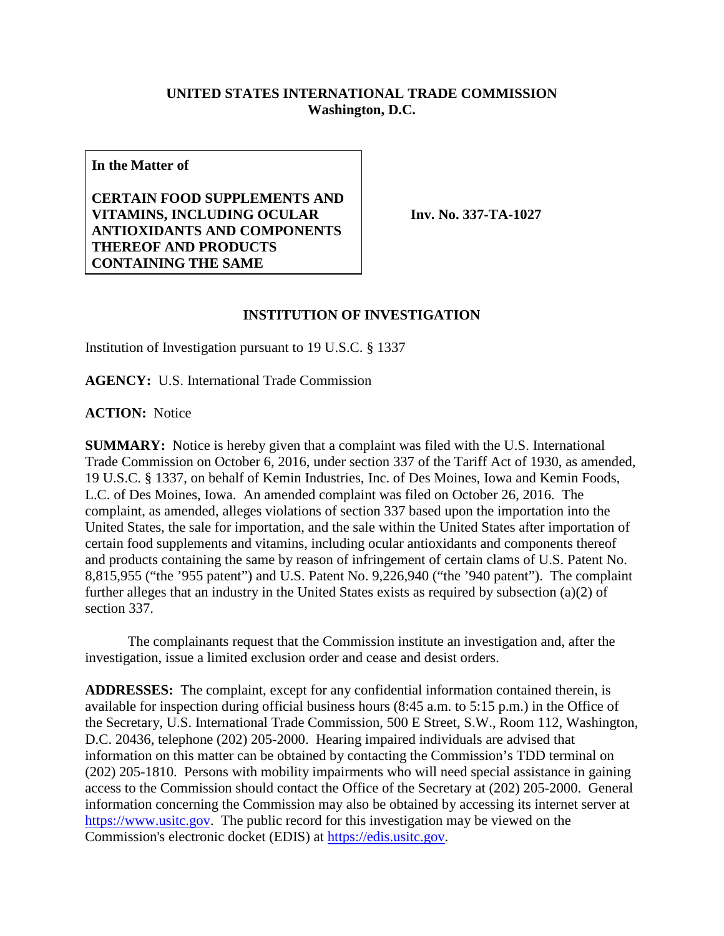## **UNITED STATES INTERNATIONAL TRADE COMMISSION Washington, D.C.**

**In the Matter of**

**CERTAIN FOOD SUPPLEMENTS AND VITAMINS, INCLUDING OCULAR ANTIOXIDANTS AND COMPONENTS THEREOF AND PRODUCTS CONTAINING THE SAME**

**Inv. No. 337-TA-1027**

## **INSTITUTION OF INVESTIGATION**

Institution of Investigation pursuant to 19 U.S.C. § 1337

**AGENCY:** U.S. International Trade Commission

**ACTION:** Notice

**SUMMARY:** Notice is hereby given that a complaint was filed with the U.S. International Trade Commission on October 6, 2016, under section 337 of the Tariff Act of 1930, as amended, 19 U.S.C. § 1337, on behalf of Kemin Industries, Inc. of Des Moines, Iowa and Kemin Foods, L.C. of Des Moines, Iowa. An amended complaint was filed on October 26, 2016. The complaint, as amended, alleges violations of section 337 based upon the importation into the United States, the sale for importation, and the sale within the United States after importation of certain food supplements and vitamins, including ocular antioxidants and components thereof and products containing the same by reason of infringement of certain clams of U.S. Patent No. 8,815,955 ("the '955 patent") and U.S. Patent No. 9,226,940 ("the '940 patent"). The complaint further alleges that an industry in the United States exists as required by subsection (a)(2) of section 337.

The complainants request that the Commission institute an investigation and, after the investigation, issue a limited exclusion order and cease and desist orders.

**ADDRESSES:** The complaint, except for any confidential information contained therein, is available for inspection during official business hours (8:45 a.m. to 5:15 p.m.) in the Office of the Secretary, U.S. International Trade Commission, 500 E Street, S.W., Room 112, Washington, D.C. 20436, telephone (202) 205-2000. Hearing impaired individuals are advised that information on this matter can be obtained by contacting the Commission's TDD terminal on (202) 205-1810. Persons with mobility impairments who will need special assistance in gaining access to the Commission should contact the Office of the Secretary at (202) 205-2000. General information concerning the Commission may also be obtained by accessing its internet server at [https://www.usitc.gov.](https://www.usitc.gov/) The public record for this investigation may be viewed on the Commission's electronic docket (EDIS) at [https://edis.usitc.gov.](https://edis.usitc.gov/)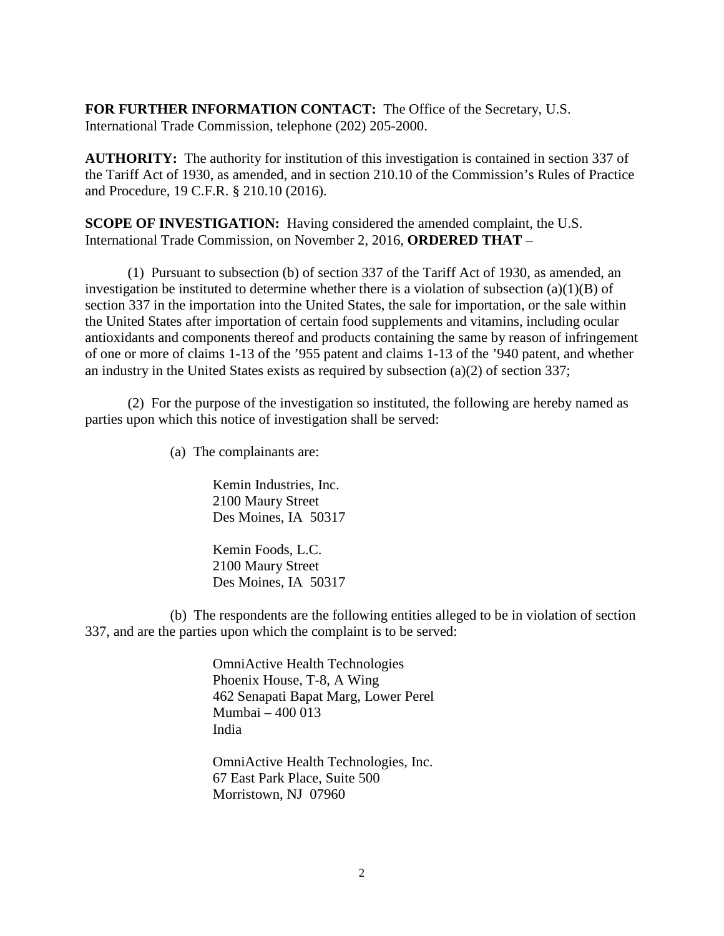**FOR FURTHER INFORMATION CONTACT:** The Office of the Secretary, U.S. International Trade Commission, telephone (202) 205-2000.

**AUTHORITY:** The authority for institution of this investigation is contained in section 337 of the Tariff Act of 1930, as amended, and in section 210.10 of the Commission's Rules of Practice and Procedure, 19 C.F.R. § 210.10 (2016).

**SCOPE OF INVESTIGATION:** Having considered the amended complaint, the U.S. International Trade Commission, on November 2, 2016, **ORDERED THAT** –

(1) Pursuant to subsection (b) of section 337 of the Tariff Act of 1930, as amended, an investigation be instituted to determine whether there is a violation of subsection (a)(1)(B) of section 337 in the importation into the United States, the sale for importation, or the sale within the United States after importation of certain food supplements and vitamins, including ocular antioxidants and components thereof and products containing the same by reason of infringement of one or more of claims 1-13 of the '955 patent and claims 1-13 of the '940 patent, and whether an industry in the United States exists as required by subsection (a)(2) of section 337;

(2) For the purpose of the investigation so instituted, the following are hereby named as parties upon which this notice of investigation shall be served:

(a) The complainants are:

Kemin Industries, Inc. 2100 Maury Street Des Moines, IA 50317

Kemin Foods, L.C. 2100 Maury Street Des Moines, IA 50317

(b) The respondents are the following entities alleged to be in violation of section 337, and are the parties upon which the complaint is to be served:

> OmniActive Health Technologies Phoenix House, T-8, A Wing 462 Senapati Bapat Marg, Lower Perel Mumbai – 400 013 India

> OmniActive Health Technologies, Inc. 67 East Park Place, Suite 500 Morristown, NJ 07960